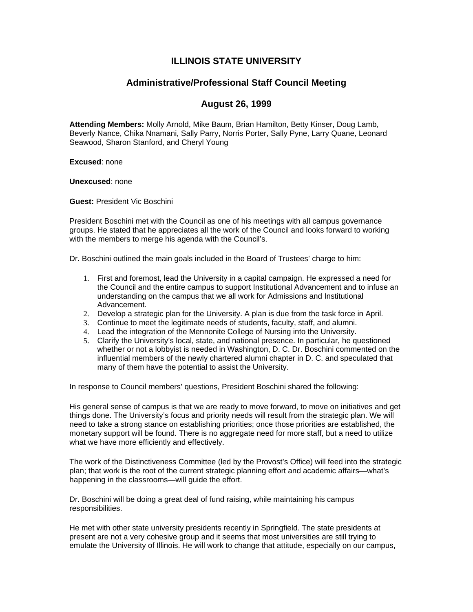# **ILLINOIS STATE UNIVERSITY**

# **Administrative/Professional Staff Council Meeting**

# **August 26, 1999**

**Attending Members:** Molly Arnold, Mike Baum, Brian Hamilton, Betty Kinser, Doug Lamb, Beverly Nance, Chika Nnamani, Sally Parry, Norris Porter, Sally Pyne, Larry Quane, Leonard Seawood, Sharon Stanford, and Cheryl Young

**Excused**: none

**Unexcused**: none

**Guest:** President Vic Boschini

President Boschini met with the Council as one of his meetings with all campus governance groups. He stated that he appreciates all the work of the Council and looks forward to working with the members to merge his agenda with the Council's.

Dr. Boschini outlined the main goals included in the Board of Trustees' charge to him:

- 1. First and foremost, lead the University in a capital campaign. He expressed a need for the Council and the entire campus to support Institutional Advancement and to infuse an understanding on the campus that we all work for Admissions and Institutional Advancement.
- 2. Develop a strategic plan for the University. A plan is due from the task force in April.
- 3. Continue to meet the legitimate needs of students, faculty, staff, and alumni.
- 4. Lead the integration of the Mennonite College of Nursing into the University.
- 5. Clarify the University's local, state, and national presence. In particular, he questioned whether or not a lobbyist is needed in Washington, D. C. Dr. Boschini commented on the influential members of the newly chartered alumni chapter in D. C. and speculated that many of them have the potential to assist the University.

In response to Council members' questions, President Boschini shared the following:

His general sense of campus is that we are ready to move forward, to move on initiatives and get things done. The University's focus and priority needs will result from the strategic plan. We will need to take a strong stance on establishing priorities; once those priorities are established, the monetary support will be found. There is no aggregate need for more staff, but a need to utilize what we have more efficiently and effectively.

The work of the Distinctiveness Committee (led by the Provost's Office) will feed into the strategic plan; that work is the root of the current strategic planning effort and academic affairs—what's happening in the classrooms—will guide the effort.

Dr. Boschini will be doing a great deal of fund raising, while maintaining his campus responsibilities.

He met with other state university presidents recently in Springfield. The state presidents at present are not a very cohesive group and it seems that most universities are still trying to emulate the University of Illinois. He will work to change that attitude, especially on our campus,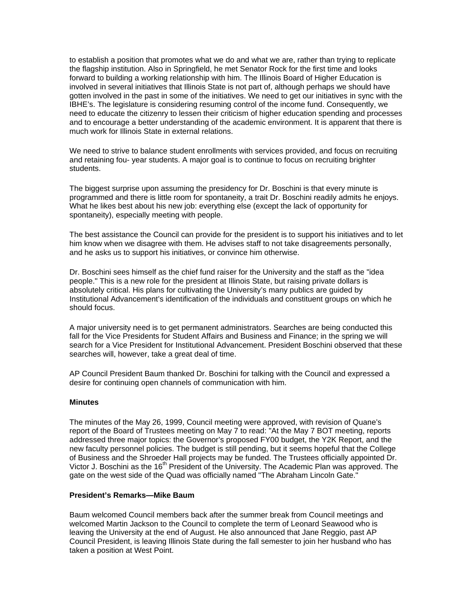to establish a position that promotes what we do and what we are, rather than trying to replicate the flagship institution. Also in Springfield, he met Senator Rock for the first time and looks forward to building a working relationship with him. The Illinois Board of Higher Education is involved in several initiatives that Illinois State is not part of, although perhaps we should have gotten involved in the past in some of the initiatives. We need to get our initiatives in sync with the IBHE's. The legislature is considering resuming control of the income fund. Consequently, we need to educate the citizenry to lessen their criticism of higher education spending and processes and to encourage a better understanding of the academic environment. It is apparent that there is much work for Illinois State in external relations.

We need to strive to balance student enrollments with services provided, and focus on recruiting and retaining fou- year students. A major goal is to continue to focus on recruiting brighter students.

The biggest surprise upon assuming the presidency for Dr. Boschini is that every minute is programmed and there is little room for spontaneity, a trait Dr. Boschini readily admits he enjoys. What he likes best about his new job: everything else (except the lack of opportunity for spontaneity), especially meeting with people.

The best assistance the Council can provide for the president is to support his initiatives and to let him know when we disagree with them. He advises staff to not take disagreements personally, and he asks us to support his initiatives, or convince him otherwise.

Dr. Boschini sees himself as the chief fund raiser for the University and the staff as the "idea people." This is a new role for the president at Illinois State, but raising private dollars is absolutely critical. His plans for cultivating the University's many publics are guided by Institutional Advancement's identification of the individuals and constituent groups on which he should focus.

A major university need is to get permanent administrators. Searches are being conducted this fall for the Vice Presidents for Student Affairs and Business and Finance; in the spring we will search for a Vice President for Institutional Advancement. President Boschini observed that these searches will, however, take a great deal of time.

AP Council President Baum thanked Dr. Boschini for talking with the Council and expressed a desire for continuing open channels of communication with him.

#### **Minutes**

The minutes of the May 26, 1999, Council meeting were approved, with revision of Quane's report of the Board of Trustees meeting on May 7 to read: "At the May 7 BOT meeting, reports addressed three major topics: the Governor's proposed FY00 budget, the Y2K Report, and the new faculty personnel policies. The budget is still pending, but it seems hopeful that the College of Business and the Shroeder Hall projects may be funded. The Trustees officially appointed Dr. Victor J. Boschini as the 16<sup>th</sup> President of the University. The Academic Plan was approved. The gate on the west side of the Quad was officially named "The Abraham Lincoln Gate."

#### **President's Remarks—Mike Baum**

Baum welcomed Council members back after the summer break from Council meetings and welcomed Martin Jackson to the Council to complete the term of Leonard Seawood who is leaving the University at the end of August. He also announced that Jane Reggio, past AP Council President, is leaving Illinois State during the fall semester to join her husband who has taken a position at West Point.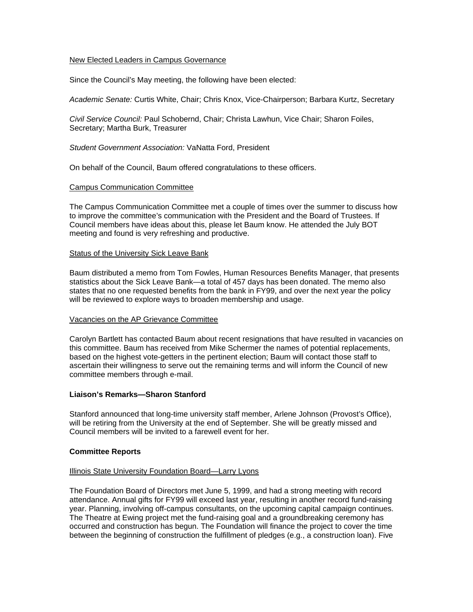### New Elected Leaders in Campus Governance

Since the Council's May meeting, the following have been elected:

*Academic Senate:* Curtis White, Chair; Chris Knox, Vice-Chairperson; Barbara Kurtz, Secretary

*Civil Service Council:* Paul Schobernd, Chair; Christa Lawhun, Vice Chair; Sharon Foiles, Secretary; Martha Burk, Treasurer

*Student Government Association:* VaNatta Ford, President

On behalf of the Council, Baum offered congratulations to these officers.

## Campus Communication Committee

The Campus Communication Committee met a couple of times over the summer to discuss how to improve the committee's communication with the President and the Board of Trustees. If Council members have ideas about this, please let Baum know. He attended the July BOT meeting and found is very refreshing and productive.

#### Status of the University Sick Leave Bank

Baum distributed a memo from Tom Fowles, Human Resources Benefits Manager, that presents statistics about the Sick Leave Bank—a total of 457 days has been donated. The memo also states that no one requested benefits from the bank in FY99, and over the next year the policy will be reviewed to explore ways to broaden membership and usage.

#### Vacancies on the AP Grievance Committee

Carolyn Bartlett has contacted Baum about recent resignations that have resulted in vacancies on this committee. Baum has received from Mike Schermer the names of potential replacements, based on the highest vote-getters in the pertinent election; Baum will contact those staff to ascertain their willingness to serve out the remaining terms and will inform the Council of new committee members through e-mail.

## **Liaison's Remarks—Sharon Stanford**

Stanford announced that long-time university staff member, Arlene Johnson (Provost's Office), will be retiring from the University at the end of September. She will be greatly missed and Council members will be invited to a farewell event for her.

#### **Committee Reports**

#### Illinois State University Foundation Board—Larry Lyons

The Foundation Board of Directors met June 5, 1999, and had a strong meeting with record attendance. Annual gifts for FY99 will exceed last year, resulting in another record fund-raising year. Planning, involving off-campus consultants, on the upcoming capital campaign continues. The Theatre at Ewing project met the fund-raising goal and a groundbreaking ceremony has occurred and construction has begun. The Foundation will finance the project to cover the time between the beginning of construction the fulfillment of pledges (e.g., a construction loan). Five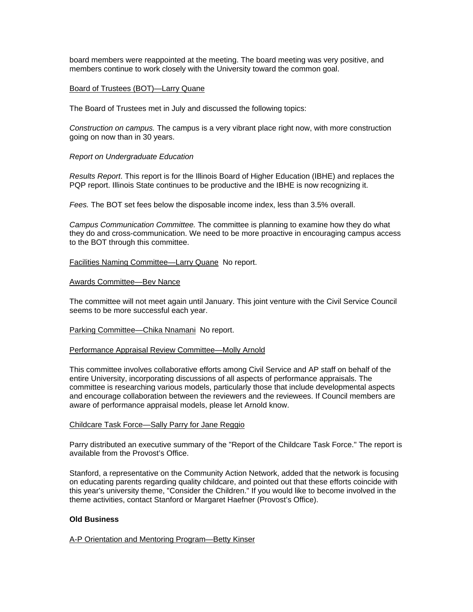board members were reappointed at the meeting. The board meeting was very positive, and members continue to work closely with the University toward the common goal.

### Board of Trustees (BOT)—Larry Quane

The Board of Trustees met in July and discussed the following topics:

*Construction on campus.* The campus is a very vibrant place right now, with more construction going on now than in 30 years.

### *Report on Undergraduate Education*

*Results Report*. This report is for the Illinois Board of Higher Education (IBHE) and replaces the PQP report. Illinois State continues to be productive and the IBHE is now recognizing it.

*Fees.* The BOT set fees below the disposable income index, less than 3.5% overall.

*Campus Communication Committee.* The committee is planning to examine how they do what they do and cross-communication. We need to be more proactive in encouraging campus access to the BOT through this committee.

## Facilities Naming Committee—Larry Quane No report.

#### Awards Committee—Bev Nance

The committee will not meet again until January. This joint venture with the Civil Service Council seems to be more successful each year.

#### Parking Committee—Chika Nnamani No report.

#### Performance Appraisal Review Committee—Molly Arnold

This committee involves collaborative efforts among Civil Service and AP staff on behalf of the entire University, incorporating discussions of all aspects of performance appraisals. The committee is researching various models, particularly those that include developmental aspects and encourage collaboration between the reviewers and the reviewees. If Council members are aware of performance appraisal models, please let Arnold know.

#### Childcare Task Force—Sally Parry for Jane Reggio

Parry distributed an executive summary of the "Report of the Childcare Task Force." The report is available from the Provost's Office.

Stanford, a representative on the Community Action Network, added that the network is focusing on educating parents regarding quality childcare, and pointed out that these efforts coincide with this year's university theme, "Consider the Children." If you would like to become involved in the theme activities, contact Stanford or Margaret Haefner (Provost's Office).

## **Old Business**

#### A-P Orientation and Mentoring Program—Betty Kinser